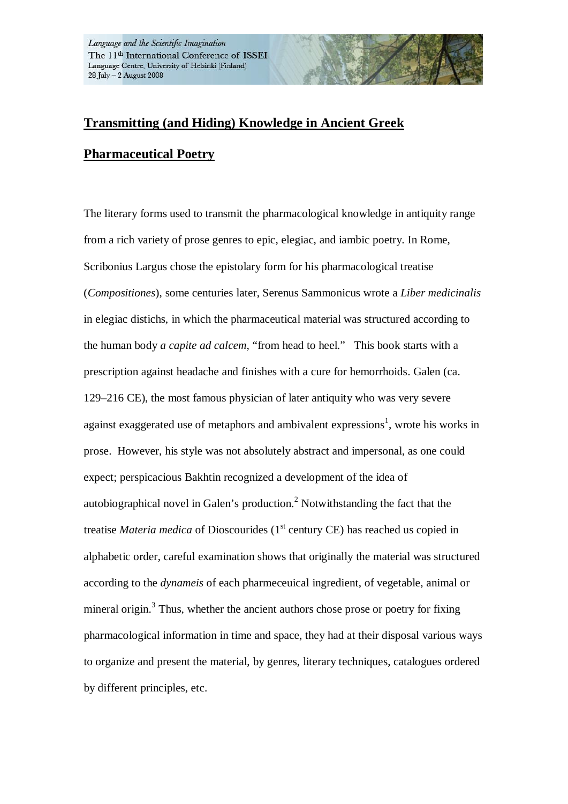## **Transmitting (and Hiding) Knowledge in Ancient Greek**

## **Pharmaceutical Poetry**

The literary forms used to transmit the pharmacological knowledge in antiquity range from a rich variety of prose genres to epic, elegiac, and iambic poetry. In Rome, Scribonius Largus chose the epistolary form for his pharmacological treatise (*Compositiones*), some centuries later, Serenus Sammonicus wrote a *Liber medicinalis* in elegiac distichs, in which the pharmaceutical material was structured according to the human body *a capite ad calcem*, "from head to heel." This book starts with a prescription against headache and finishes with a cure for hemorrhoids. Galen (ca. 129–216 CE), the most famous physician of later antiquity who was very severe against exaggerated use of metaphors and ambivalent expressions<sup>1</sup>, wrote his works in prose. However, his style was not absolutely abstract and impersonal, as one could expect; perspicacious Bakhtin recognized a development of the idea of autobiographical novel in Galen's production.<sup>2</sup> Notwithstanding the fact that the treatise *Materia medica* of Dioscourides (1<sup>st</sup> century CE) has reached us copied in alphabetic order, careful examination shows that originally the material was structured according to the *dynameis* of each pharmeceuical ingredient, of vegetable, animal or mineral origin.<sup>3</sup> Thus, whether the ancient authors chose prose or poetry for fixing pharmacological information in time and space, they had at their disposal various ways to organize and present the material, by genres, literary techniques, catalogues ordered by different principles, etc.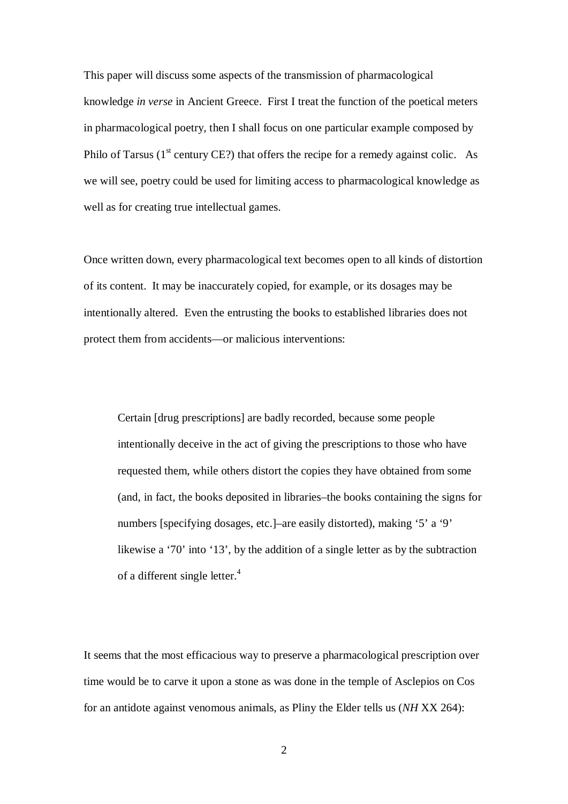This paper will discuss some aspects of the transmission of pharmacological knowledge *in verse* in Ancient Greece. First I treat the function of the poetical meters in pharmacological poetry, then I shall focus on one particular example composed by Philo of Tarsus  $(1<sup>st</sup>$  century CE?) that offers the recipe for a remedy against colic. As we will see, poetry could be used for limiting access to pharmacological knowledge as well as for creating true intellectual games.

Once written down, every pharmacological text becomes open to all kinds of distortion of its content. It may be inaccurately copied, for example, or its dosages may be intentionally altered. Even the entrusting the books to established libraries does not protect them from accidents—or malicious interventions:

Certain [drug prescriptions] are badly recorded, because some people intentionally deceive in the act of giving the prescriptions to those who have requested them, while others distort the copies they have obtained from some (and, in fact, the books deposited in libraries–the books containing the signs for numbers [specifying dosages, etc.]–are easily distorted), making '5' a '9' likewise a '70' into '13', by the addition of a single letter as by the subtraction of a different single letter.<sup>4</sup>

It seems that the most efficacious way to preserve a pharmacological prescription over time would be to carve it upon a stone as was done in the temple of Asclepios on Cos for an antidote against venomous animals, as Pliny the Elder tells us (*NH* XX 264):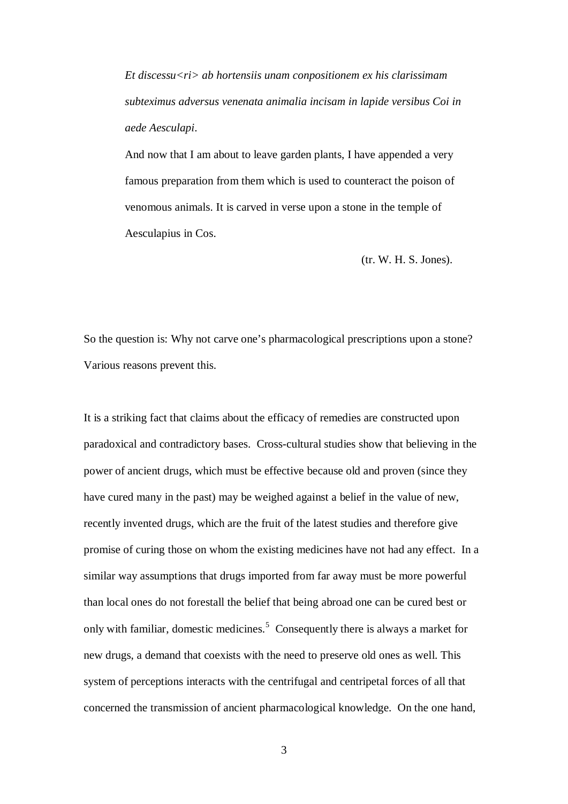*Et discessu<ri> ab hortensiis unam conpositionem ex his clarissimam subteximus adversus venenata animalia incisam in lapide versibus Coi in aede Aesculapi*.

And now that I am about to leave garden plants, I have appended a very famous preparation from them which is used to counteract the poison of venomous animals. It is carved in verse upon a stone in the temple of Aesculapius in Cos.

(tr. W. H. S. Jones).

So the question is: Why not carve one's pharmacological prescriptions upon a stone? Various reasons prevent this.

It is a striking fact that claims about the efficacy of remedies are constructed upon paradoxical and contradictory bases. Cross-cultural studies show that believing in the power of ancient drugs, which must be effective because old and proven (since they have cured many in the past) may be weighed against a belief in the value of new, recently invented drugs, which are the fruit of the latest studies and therefore give promise of curing those on whom the existing medicines have not had any effect. In a similar way assumptions that drugs imported from far away must be more powerful than local ones do not forestall the belief that being abroad one can be cured best or only with familiar, domestic medicines.<sup>5</sup> Consequently there is always a market for new drugs, a demand that coexists with the need to preserve old ones as well. This system of perceptions interacts with the centrifugal and centripetal forces of all that concerned the transmission of ancient pharmacological knowledge. On the one hand,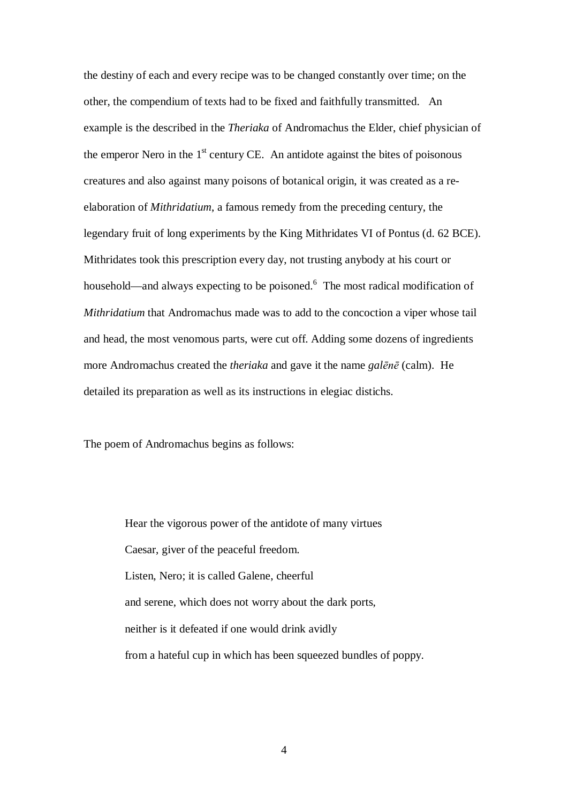the destiny of each and every recipe was to be changed constantly over time; on the other, the compendium of texts had to be fixed and faithfully transmitted. An example is the described in the *Theriaka* of Andromachus the Elder, chief physician of the emperor Nero in the  $1<sup>st</sup>$  century CE. An antidote against the bites of poisonous creatures and also against many poisons of botanical origin, it was created as a reelaboration of *Mithridatium*, a famous remedy from the preceding century, the legendary fruit of long experiments by the King Mithridates VI of Pontus (d. 62 BCE). Mithridates took this prescription every day, not trusting anybody at his court or household—and always expecting to be poisoned.<sup>6</sup> The most radical modification of *Mithridatium* that Andromachus made was to add to the concoction a viper whose tail and head, the most venomous parts, were cut off. Adding some dozens of ingredients more Andromachus created the *theriaka* and gave it the name *galēnē* (calm). He detailed its preparation as well as its instructions in elegiac distichs.

The poem of Andromachus begins as follows:

Hear the vigorous power of the antidote of many virtues Caesar, giver of the peaceful freedom. Listen, Nero; it is called Galene, cheerful and serene, which does not worry about the dark ports, neither is it defeated if one would drink avidly from a hateful cup in which has been squeezed bundles of poppy.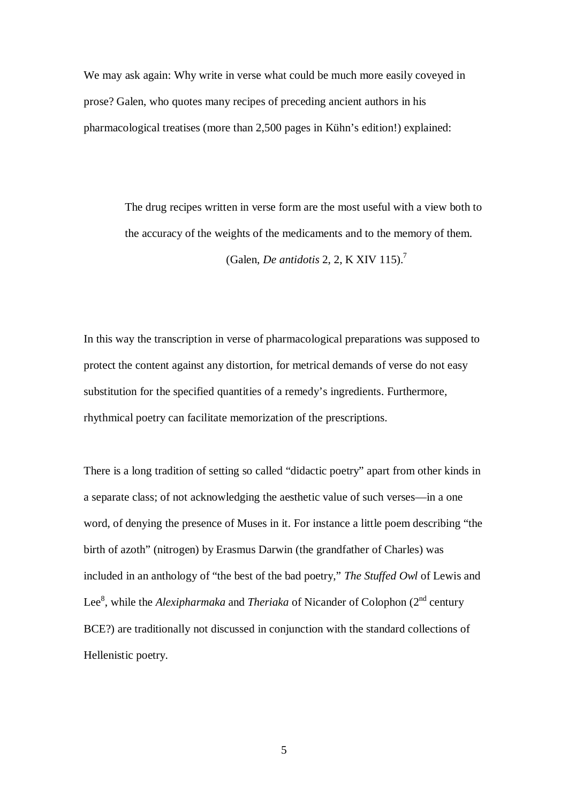We may ask again: Why write in verse what could be much more easily coveyed in prose? Galen, who quotes many recipes of preceding ancient authors in his pharmacological treatises (more than 2,500 pages in Kühn's edition!) explained:

> The drug recipes written in verse form are the most useful with a view both to the accuracy of the weights of the medicaments and to the memory of them.

> > (Galen, *De antidotis* 2, 2, K XIV 115).<sup>7</sup>

In this way the transcription in verse of pharmacological preparations was supposed to protect the content against any distortion, for metrical demands of verse do not easy substitution for the specified quantities of a remedy's ingredients. Furthermore, rhythmical poetry can facilitate memorization of the prescriptions.

There is a long tradition of setting so called "didactic poetry" apart from other kinds in a separate class; of not acknowledging the aesthetic value of such verses—in a one word, of denying the presence of Muses in it. For instance a little poem describing "the birth of azoth" (nitrogen) by Erasmus Darwin (the grandfather of Charles) was included in an anthology of "the best of the bad poetry," *The Stuffed Owl* of Lewis and Lee<sup>8</sup>, while the *Alexipharmaka* and *Theriaka* of Nicander of Colophon (2<sup>nd</sup> century BCE?) are traditionally not discussed in conjunction with the standard collections of Hellenistic poetry.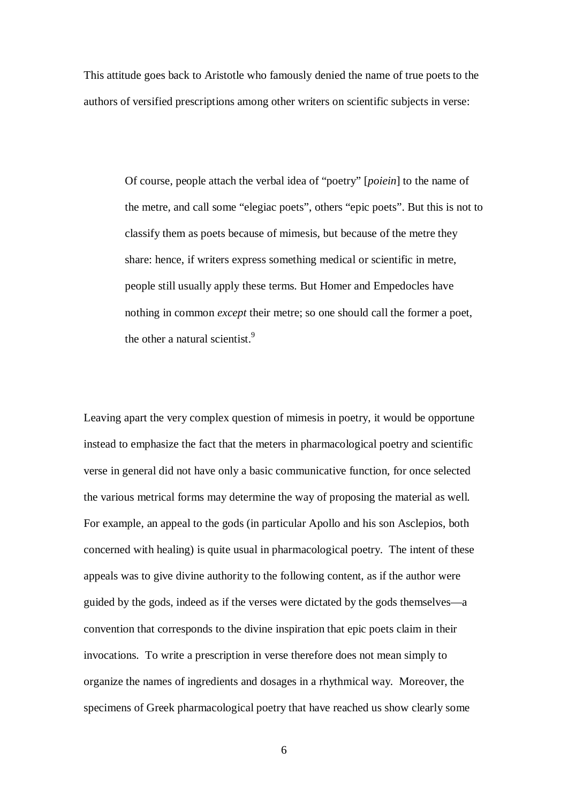This attitude goes back to Aristotle who famously denied the name of true poets to the authors of versified prescriptions among other writers on scientific subjects in verse:

> Of course, people attach the verbal idea of "poetry" [*poiein*] to the name of the metre, and call some "elegiac poets", others "epic poets". But this is not to classify them as poets because of mimesis, but because of the metre they share: hence, if writers express something medical or scientific in metre, people still usually apply these terms. But Homer and Empedocles have nothing in common *except* their metre; so one should call the former a poet, the other a natural scientist.<sup>9</sup>

Leaving apart the very complex question of mimesis in poetry, it would be opportune instead to emphasize the fact that the meters in pharmacological poetry and scientific verse in general did not have only a basic communicative function, for once selected the various metrical forms may determine the way of proposing the material as well. For example, an appeal to the gods (in particular Apollo and his son Asclepios, both concerned with healing) is quite usual in pharmacological poetry. The intent of these appeals was to give divine authority to the following content, as if the author were guided by the gods, indeed as if the verses were dictated by the gods themselves—a convention that corresponds to the divine inspiration that epic poets claim in their invocations. To write a prescription in verse therefore does not mean simply to organize the names of ingredients and dosages in a rhythmical way. Moreover, the specimens of Greek pharmacological poetry that have reached us show clearly some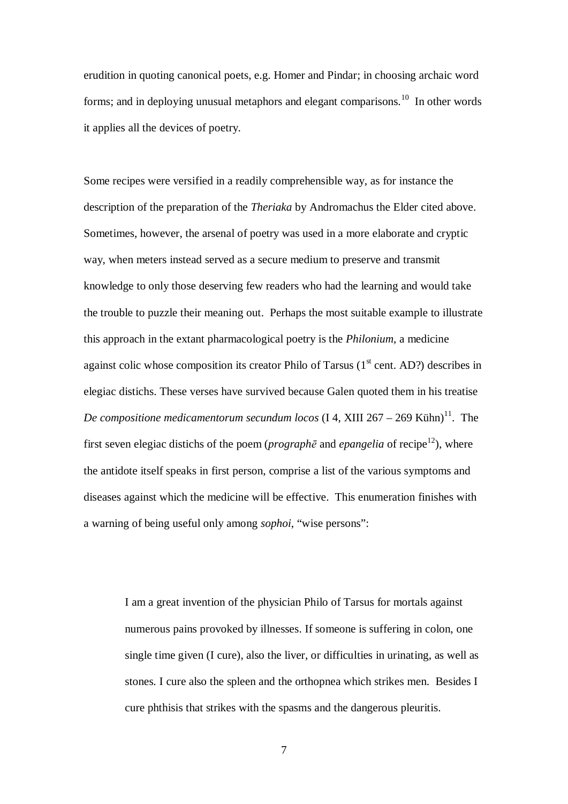erudition in quoting canonical poets, e.g. Homer and Pindar; in choosing archaic word forms; and in deploying unusual metaphors and elegant comparisons.<sup>10</sup> In other words it applies all the devices of poetry.

Some recipes were versified in a readily comprehensible way, as for instance the description of the preparation of the *Theriaka* by Andromachus the Elder cited above. Sometimes, however, the arsenal of poetry was used in a more elaborate and cryptic way, when meters instead served as a secure medium to preserve and transmit knowledge to only those deserving few readers who had the learning and would take the trouble to puzzle their meaning out. Perhaps the most suitable example to illustrate this approach in the extant pharmacological poetry is the *Philonium*, a medicine against colic whose composition its creator Philo of Tarsus  $(1<sup>st</sup>$  cent. AD?) describes in elegiac distichs. These verses have survived because Galen quoted them in his treatise *De compositione medicamentorum secundum locos* (I 4, XIII 267 – 269 Kühn)<sup>11</sup>. The first seven elegiac distichs of the poem (*prograph* $\bar{e}$  and *epangelia* of recipe<sup>12</sup>), where the antidote itself speaks in first person, comprise a list of the various symptoms and diseases against which the medicine will be effective. This enumeration finishes with a warning of being useful only among *sophoi*, "wise persons":

> I am a great invention of the physician Philo of Tarsus for mortals against numerous pains provoked by illnesses. If someone is suffering in colon, one single time given (I cure), also the liver, or difficulties in urinating, as well as stones. I cure also the spleen and the orthopnea which strikes men. Besides I cure phthisis that strikes with the spasms and the dangerous pleuritis.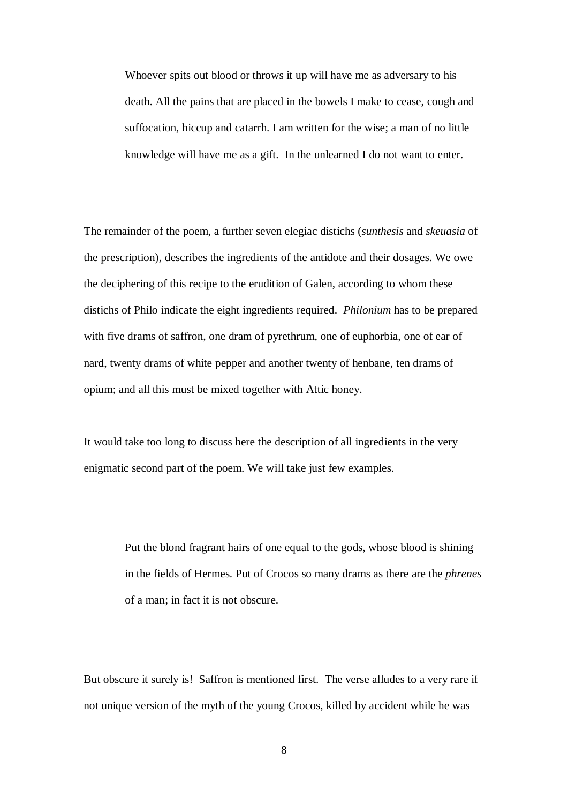Whoever spits out blood or throws it up will have me as adversary to his death. All the pains that are placed in the bowels I make to cease, cough and suffocation, hiccup and catarrh. I am written for the wise; a man of no little knowledge will have me as a gift. In the unlearned I do not want to enter.

The remainder of the poem, a further seven elegiac distichs (*sunthesis* and *skeuasia* of the prescription), describes the ingredients of the antidote and their dosages. We owe the deciphering of this recipe to the erudition of Galen, according to whom these distichs of Philo indicate the eight ingredients required. *Philonium* has to be prepared with five drams of saffron, one dram of pyrethrum, one of euphorbia, one of ear of nard, twenty drams of white pepper and another twenty of henbane, ten drams of opium; and all this must be mixed together with Attic honey.

It would take too long to discuss here the description of all ingredients in the very enigmatic second part of the poem. We will take just few examples.

> Put the blond fragrant hairs of one equal to the gods, whose blood is shining in the fields of Hermes. Put of Crocos so many drams as there are the *phrenes* of a man; in fact it is not obscure.

But obscure it surely is! Saffron is mentioned first. The verse alludes to a very rare if not unique version of the myth of the young Crocos, killed by accident while he was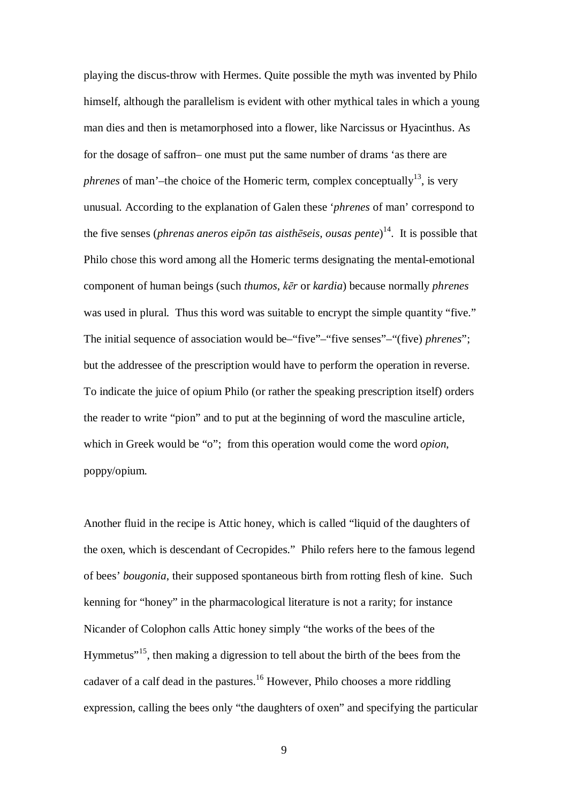playing the discus-throw with Hermes. Quite possible the myth was invented by Philo himself, although the parallelism is evident with other mythical tales in which a young man dies and then is metamorphosed into a flower, like Narcissus or Hyacinthus. As for the dosage of saffron– one must put the same number of drams 'as there are *phrenes* of man'–the choice of the Homeric term, complex conceptually<sup>13</sup>, is very unusual. According to the explanation of Galen these '*phrenes* of man' correspond to the five senses (*phrenas aneros eipōn tas aisthēseis, ousas pente*)<sup>14</sup>. It is possible that Philo chose this word among all the Homeric terms designating the mental-emotional component of human beings (such *thumos, ket* or *kardia*) because normally *phrenes* was used in plural. Thus this word was suitable to encrypt the simple quantity "five." The initial sequence of association would be–"five"–"five senses"–"(five) *phrenes*"; but the addressee of the prescription would have to perform the operation in reverse. To indicate the juice of opium Philo (or rather the speaking prescription itself) orders the reader to write "pion" and to put at the beginning of word the masculine article, which in Greek would be "o"; from this operation would come the word *opion*, poppy/opium.

Another fluid in the recipe is Attic honey, which is called "liquid of the daughters of the oxen, which is descendant of Cecropides." Philo refers here to the famous legend of bees' *bougonia*, their supposed spontaneous birth from rotting flesh of kine. Such kenning for "honey" in the pharmacological literature is not a rarity; for instance Nicander of Colophon calls Attic honey simply "the works of the bees of the Hymmetus"<sup>15</sup>, then making a digression to tell about the birth of the bees from the cadaver of a calf dead in the pastures.<sup>16</sup> However, Philo chooses a more riddling expression, calling the bees only "the daughters of oxen" and specifying the particular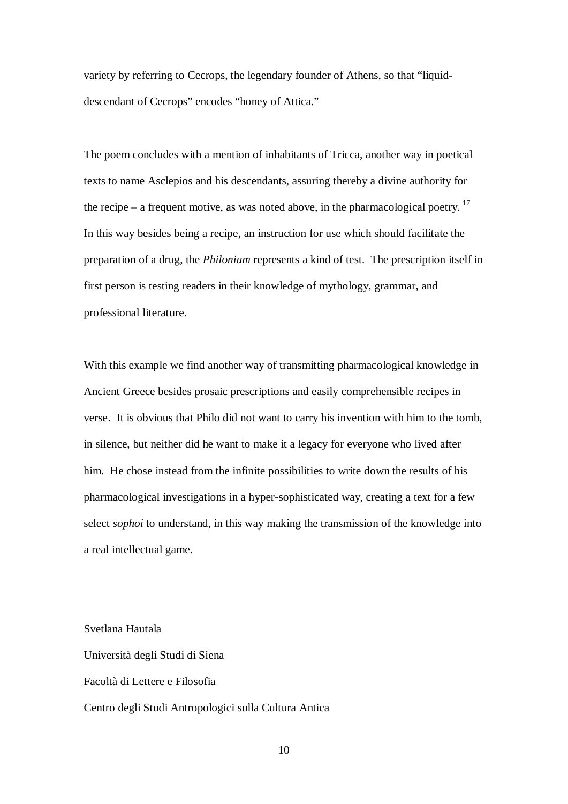variety by referring to Cecrops, the legendary founder of Athens, so that "liquiddescendant of Cecrops" encodes "honey of Attica."

The poem concludes with a mention of inhabitants of Tricca, another way in poetical texts to name Asclepios and his descendants, assuring thereby a divine authority for the recipe – a frequent motive, as was noted above, in the pharmacological poetry.<sup>17</sup> In this way besides being a recipe, an instruction for use which should facilitate the preparation of a drug, the *Philonium* represents a kind of test. The prescription itself in first person is testing readers in their knowledge of mythology, grammar, and professional literature.

With this example we find another way of transmitting pharmacological knowledge in Ancient Greece besides prosaic prescriptions and easily comprehensible recipes in verse. It is obvious that Philo did not want to carry his invention with him to the tomb, in silence, but neither did he want to make it a legacy for everyone who lived after him. He chose instead from the infinite possibilities to write down the results of his pharmacological investigations in a hyper-sophisticated way, creating a text for a few select *sophoi* to understand, in this way making the transmission of the knowledge into a real intellectual game.

Svetlana Hautala Università degli Studi di Siena Facoltà di Lettere e Filosofia Centro degli Studi Antropologici sulla Cultura Antica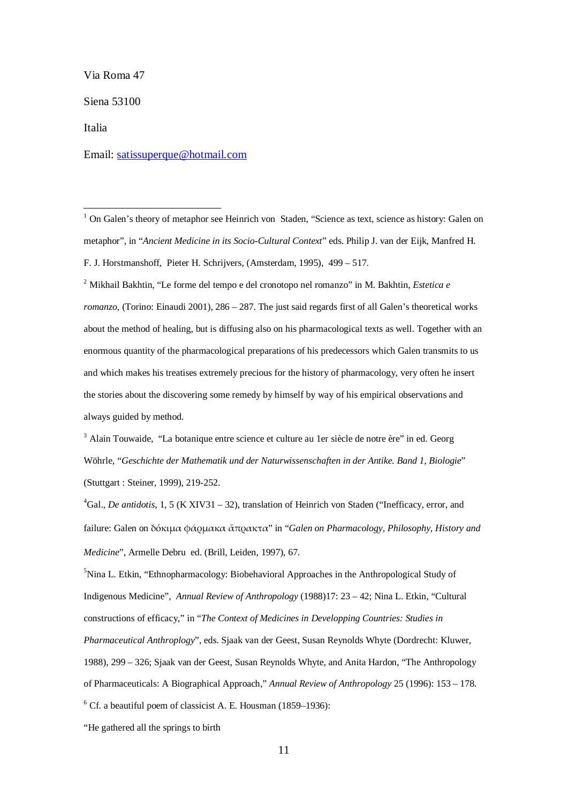Via Roma 47

Siena 53100

Italia

Email: satissuperque@hotmail.com

<sup>1</sup> On Galen's theory of metaphor see Heinrich von Staden, "Science as text, science as history: Galen on metaphor", in "*Ancient Medicine in its Socio-Cultural Context*" eds. Philip J. van der Eijk, Manfred H. F. J. Horstmanshoff, Pieter H. Schrijvers, (Amsterdam, 1995), 499 – 517.

2 Mikhail Bakhtin, "Le forme del tempo e del cronotopo nel romanzo" in M. Bakhtin, *Estetica e romanzo*, (Torino: Einaudi 2001), 286 – 287. The just said regards first of all Galen's theoretical works about the method of healing, but is diffusing also on his pharmacological texts as well. Together with an enormous quantity of the pharmacological preparations of his predecessors which Galen transmits to us and which makes his treatises extremely precious for the history of pharmacology, very often he insert the stories about the discovering some remedy by himself by way of his empirical observations and always guided by method.

<sup>3</sup> Alain Touwaide, "La botanique entre science et culture au 1er siècle de notre ère" in ed. Georg Wöhrle, "*Geschichte der Mathematik und der Naturwissenschaften in der Antike. Band 1, Biologie*" (Stuttgart : Steiner, 1999), 219-252.

<sup>4</sup>Gal., *De antidotis*, 1, 5 (K XIV31 – 32), translation of Heinrich von Staden ("Inefficacy, error, and failure: Galen on δόκιμα φάομακα ἄποακτα" in "*Galen on Pharmacology, Philosophy, History and Medicine*", Armelle Debru ed. (Brill, Leiden, 1997), 67.

<sup>5</sup>Nina L. Etkin, "Ethnopharmacology: Biobehavioral Approaches in the Anthropological Study of Indigenous Medicine", *Annual Review of Anthropology* (1988)17: 23 – 42; Nina L. Etkin, "Cultural constructions of efficacy," in "*The Context of Medicines in Developping Countries: Studies in Pharmaceutical Anthroplogy*", eds. Sjaak van der Geest, Susan Reynolds Whyte (Dordrecht: Kluwer, 1988), 299 – 326; Sjaak van der Geest, Susan Reynolds Whyte, and Anita Hardon, "The Anthropology of Pharmaceuticals: A Biographical Approach," *Annual Review of Anthropology* 25 (1996): 153 – 178. 6 Cf. a beautiful poem of classicist A. E. Housman (1859–1936):

"He gathered all the springs to birth